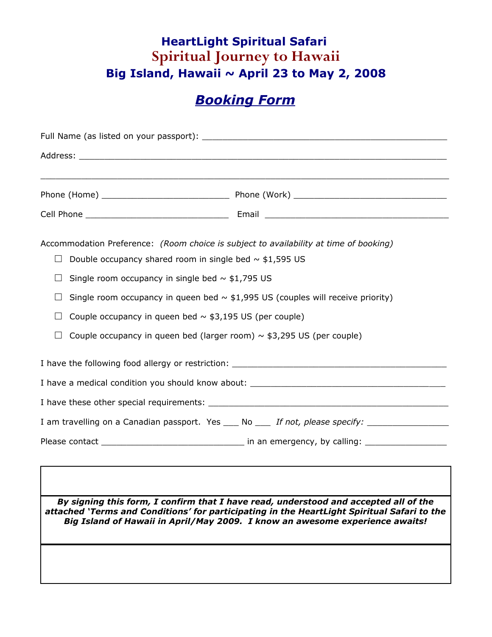### **HeartLight Spiritual Safari Spiritual Journey to Hawaii Big Island, Hawaii ~ April 23 to May 2, 2008**

# *Booking Form*

| Accommodation Preference: (Room choice is subject to availability at time of booking)<br>Double occupancy shared room in single bed $\sim$ \$1,595 US |                                                                                                                                                                                                                                                                     |  |  |
|-------------------------------------------------------------------------------------------------------------------------------------------------------|---------------------------------------------------------------------------------------------------------------------------------------------------------------------------------------------------------------------------------------------------------------------|--|--|
| Single room occupancy in single bed $\sim$ \$1,795 US<br>$\Box$                                                                                       | Single room occupancy in queen bed $\sim$ \$1,995 US (couples will receive priority)                                                                                                                                                                                |  |  |
| Couple occupancy in queen bed $\sim$ \$3,195 US (per couple)<br>$\Box$<br>Couple occupancy in queen bed (larger room) $\sim$ \$3,295 US (per couple)  |                                                                                                                                                                                                                                                                     |  |  |
| I have the following food allergy or restriction: ______________________________                                                                      |                                                                                                                                                                                                                                                                     |  |  |
|                                                                                                                                                       |                                                                                                                                                                                                                                                                     |  |  |
|                                                                                                                                                       |                                                                                                                                                                                                                                                                     |  |  |
|                                                                                                                                                       | I am travelling on a Canadian passport. Yes ____ No ____ If not, please specify: __________________                                                                                                                                                                 |  |  |
|                                                                                                                                                       |                                                                                                                                                                                                                                                                     |  |  |
|                                                                                                                                                       | By signing this form, I confirm that I have read, understood and accepted all of the<br>attached 'Terms and Conditions' for participating in the HeartLight Spiritual Safari to the<br>Big Island of Hawaii in April/May 2009. I know an awesome experience awaits! |  |  |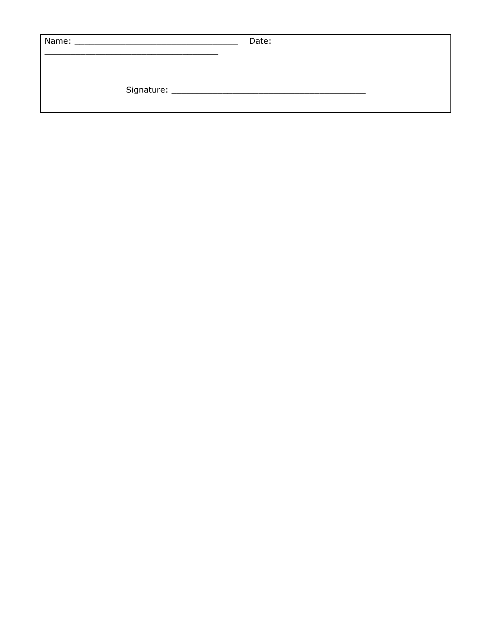| Name: | <u> 1980 - Jan Barnett, fransk politiker (d. 1980)</u> | Date: |  |
|-------|--------------------------------------------------------|-------|--|
|       |                                                        |       |  |
|       |                                                        |       |  |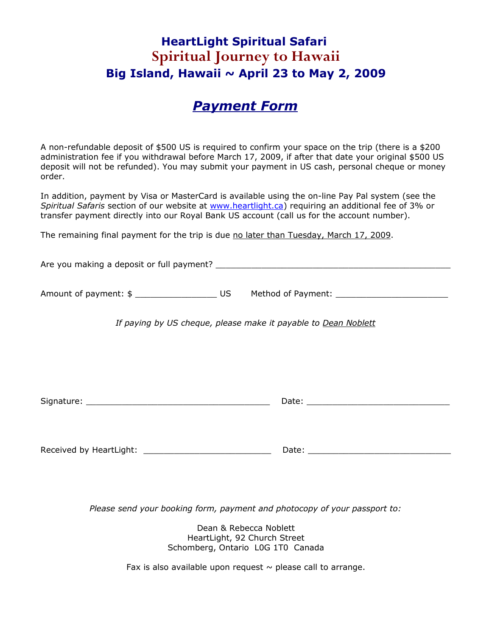### **HeartLight Spiritual Safari Spiritual Journey to Hawaii Big Island, Hawaii ~ April 23 to May 2, 2009**

#### *Payment Form*

A non-refundable deposit of \$500 US is required to confirm your space on the trip (there is a \$200 administration fee if you withdrawal before March 17, 2009, if after that date your original \$500 US deposit will not be refunded). You may submit your payment in US cash, personal cheque or money order.

In addition, payment by Visa or MasterCard is available using the on-line Pay Pal system (see the *Spiritual Safaris* section of our website at [www.heartlight.ca\)](http://www.heartlight.ca/) requiring an additional fee of 3% or transfer payment directly into our Royal Bank US account (call us for the account number).

The remaining final payment for the trip is due no later than Tuesday, March 17, 2009.

Are you making a deposit or full payment? \_\_\_\_\_\_\_\_\_\_\_\_\_\_\_\_\_\_\_\_\_\_\_\_\_\_\_\_\_\_\_\_\_\_\_\_\_\_\_\_\_\_\_\_\_\_

Amount of payment: \$ \_\_\_\_\_\_\_\_\_\_\_\_\_\_\_\_ US Method of Payment: \_\_\_\_\_\_\_\_\_\_\_\_\_\_\_\_\_\_\_\_\_\_

*If paying by US cheque, please make it payable to Dean Noblett*

Signature: \_\_\_\_\_\_\_\_\_\_\_\_\_\_\_\_\_\_\_\_\_\_\_\_\_\_\_\_\_\_\_\_\_\_\_\_ Date: \_\_\_\_\_\_\_\_\_\_\_\_\_\_\_\_\_\_\_\_\_\_\_\_\_\_\_\_

Received by HeartLight: \_\_\_\_\_\_\_\_\_\_\_\_\_\_\_\_\_\_\_\_\_\_\_\_\_ Date: \_\_\_\_\_\_\_\_\_\_\_\_\_\_\_\_\_\_\_\_\_\_\_\_\_\_\_\_

*Please send your booking form, payment and photocopy of your passport to:*

Dean & Rebecca Noblett HeartLight, 92 Church Street Schomberg, Ontario L0G 1T0 Canada

Fax is also available upon request  $\sim$  please call to arrange.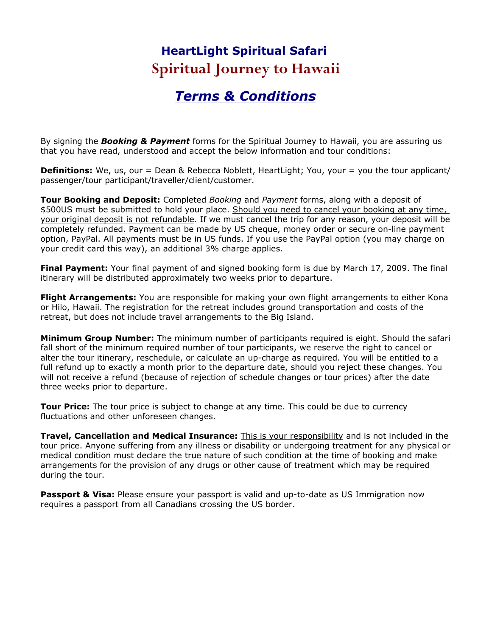## **HeartLight Spiritual Safari Spiritual Journey to Hawaii**

## *Terms & Conditions*

By signing the *Booking & Payment* forms for the Spiritual Journey to Hawaii, you are assuring us that you have read, understood and accept the below information and tour conditions:

**Definitions:** We, us, our = Dean & Rebecca Noblett, HeartLight; You, your = you the tour applicant/ passenger/tour participant/traveller/client/customer.

**Tour Booking and Deposit:** Completed *Booking* and *Payment* forms, along with a deposit of \$500US must be submitted to hold your place. Should you need to cancel your booking at any time, your original deposit is not refundable. If we must cancel the trip for any reason, your deposit will be completely refunded. Payment can be made by US cheque, money order or secure on-line payment option, PayPal. All payments must be in US funds. If you use the PayPal option (you may charge on your credit card this way), an additional 3% charge applies.

**Final Payment:** Your final payment of and signed booking form is due by March 17, 2009. The final itinerary will be distributed approximately two weeks prior to departure.

**Flight Arrangements:** You are responsible for making your own flight arrangements to either Kona or Hilo, Hawaii. The registration for the retreat includes ground transportation and costs of the retreat, but does not include travel arrangements to the Big Island.

**Minimum Group Number:** The minimum number of participants required is eight. Should the safari fall short of the minimum required number of tour participants, we reserve the right to cancel or alter the tour itinerary, reschedule, or calculate an up-charge as required. You will be entitled to a full refund up to exactly a month prior to the departure date, should you reject these changes. You will not receive a refund (because of rejection of schedule changes or tour prices) after the date three weeks prior to departure.

**Tour Price:** The tour price is subject to change at any time. This could be due to currency fluctuations and other unforeseen changes.

**Travel, Cancellation and Medical Insurance:** This is your responsibility and is not included in the tour price. Anyone suffering from any illness or disability or undergoing treatment for any physical or medical condition must declare the true nature of such condition at the time of booking and make arrangements for the provision of any drugs or other cause of treatment which may be required during the tour.

**Passport & Visa:** Please ensure your passport is valid and up-to-date as US Immigration now requires a passport from all Canadians crossing the US border.